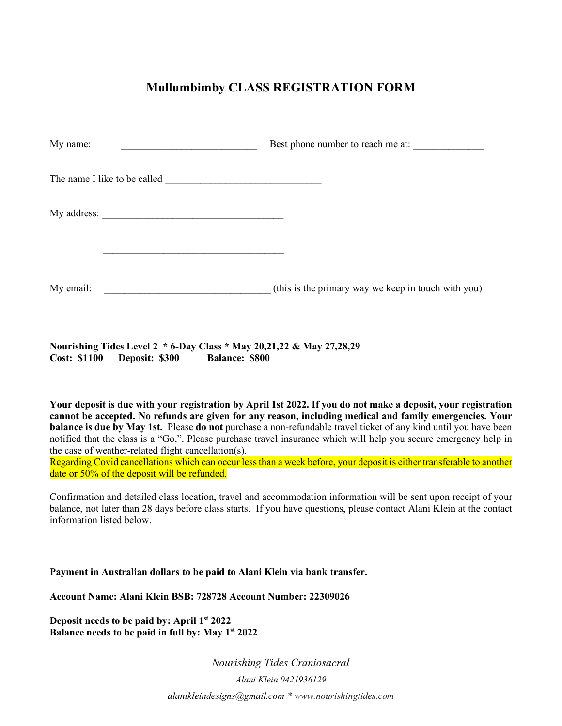## **Mullumbimby CLASS REGISTRATION FORM**

| My name:                                                                                                                               | Best phone number to reach me at:                                                                                                                                                                                                                                                                                                                                                                                                                                                                                                                                                          |
|----------------------------------------------------------------------------------------------------------------------------------------|--------------------------------------------------------------------------------------------------------------------------------------------------------------------------------------------------------------------------------------------------------------------------------------------------------------------------------------------------------------------------------------------------------------------------------------------------------------------------------------------------------------------------------------------------------------------------------------------|
|                                                                                                                                        |                                                                                                                                                                                                                                                                                                                                                                                                                                                                                                                                                                                            |
|                                                                                                                                        |                                                                                                                                                                                                                                                                                                                                                                                                                                                                                                                                                                                            |
| My email:                                                                                                                              | (this is the primary way we keep in touch with you)                                                                                                                                                                                                                                                                                                                                                                                                                                                                                                                                        |
| Nourishing Tides Level 2 * 6-Day Class * May 20,21,22 & May 27,28,29<br><b>Cost: \$1100</b><br>Deposit: \$300<br><b>Balance: \$800</b> |                                                                                                                                                                                                                                                                                                                                                                                                                                                                                                                                                                                            |
| the case of weather-related flight cancellation(s).<br>date or 50% of the deposit will be refunded.                                    | Your deposit is due with your registration by April 1st 2022. If you do not make a deposit, your registration<br>cannot be accepted. No refunds are given for any reason, including medical and family emergencies. Your<br>balance is due by May 1st. Please do not purchase a non-refundable travel ticket of any kind until you have been<br>notified that the class is a "Go,". Please purchase travel insurance which will help you secure emergency help in<br>Regarding Covid cancellations which can occur less than a week before, your deposit is either transferable to another |
| information listed below.                                                                                                              | Confirmation and detailed class location, travel and accommodation information will be sent upon receipt of your<br>balance, not later than 28 days before class starts. If you have questions, please contact Alani Klein at the contact                                                                                                                                                                                                                                                                                                                                                  |
|                                                                                                                                        | Payment in Australian dollars to be paid to Alani Klein via bank transfer.                                                                                                                                                                                                                                                                                                                                                                                                                                                                                                                 |
| Account Name: Alani Klein BSB: 728728 Account Number: 22309026                                                                         |                                                                                                                                                                                                                                                                                                                                                                                                                                                                                                                                                                                            |

**Deposit needs to be paid by: April 1st 2022 Balance needs to be paid in full by: May 1st 2022**

> *Nourishing Tides Craniosacral Alani Klein 0421936129 alanikleindesigns@gmail.com \* www.nourishingtides.com*